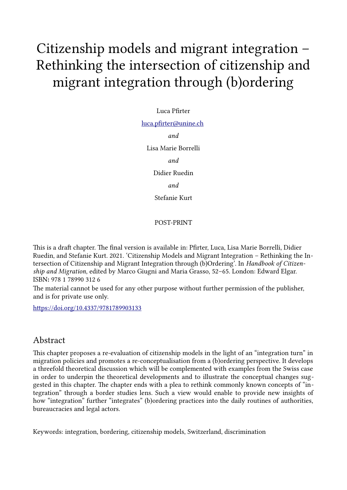# Citizenship models and migrant integration – Rethinking the intersection of citizenship and migrant integration through (b)ordering

### Luca Pfirter

#### luca.pfirter@unine.ch

*and*

Lisa Marie Borrelli

*and*

Didier Ruedin *and*

Stefanie Kurt

## POST-PRINT

This is a draft chapter. The final version is available in: Pfirter, Luca, Lisa Marie Borrelli, Didier Ruedin, and Stefanie Kurt. 2021. 'Citizenship Models and Migrant Integration – Rethinking the Intersection of Citizenship and Migrant Integration through (b)Ordering'. In *Handbook of Citizenship and Migration*, edited by Marco Giugni and Maria Grasso, 52–65. London: Edward Elgar. ISBN**:** 978 1 78990 312 6

The material cannot be used for any other purpose without further permission of the publisher, and is for private use only.

<https://doi.org/10.4337/9781789903133>

## Abstract

This chapter proposes a re-evaluation of citizenship models in the light of an "integration turn" in migration policies and promotes a re-conceptualisation from a (b)ordering perspective. It develops a threefold theoretical discussion which will be complemented with examples from the Swiss case in order to underpin the theoretical developments and to illustrate the conceptual changes suggested in this chapter. The chapter ends with a plea to rethink commonly known concepts of "integration" through a border studies lens. Such a view would enable to provide new insights of how "integration" further "integrates" (b)ordering practices into the daily routines of authorities, bureaucracies and legal actors.

Keywords: integration, bordering, citizenship models, Switzerland, discrimination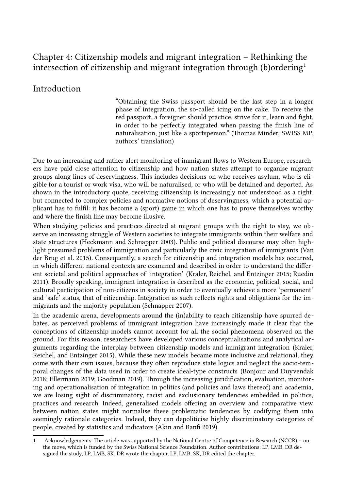# Chapter 4: Citizenship models and migrant integration – Rethinking the intersection of citizenship and migrant integration through  $(b)$ ordering<sup>[1](#page-1-0)</sup>

## Introduction

"Obtaining the Swiss passport should be the last step in a longer phase of integration, the so-called icing on the cake. To receive the red passport, a foreigner should practice, strive for it, learn and fight, in order to be perfectly integrated when passing the finish line of naturalisation, just like a sportsperson." (Thomas Minder, SWISS MP, authors' translation)

Due to an increasing and rather alert monitoring of immigrant flows to Western Europe, researchers have paid close attention to citizenship and how nation states attempt to organise migrant groups along lines of deservingness. This includes decisions on who receives asylum, who is eligible for a tourist or work visa, who will be naturalised, or who will be detained and deported. As shown in the introductory quote, receiving citizenship is increasingly not understood as a right, but connected to complex policies and normative notions of deservingness, which a potential applicant has to fulfil: it has become a (sport) game in which one has to prove themselves worthy and where the finish line may become illusive.

When studying policies and practices directed at migrant groups with the right to stay, we observe an increasing struggle of Western societies to integrate immigrants within their welfare and state structures (Heckmann and Schnapper 2003). Public and political discourse may often highlight presumed problems of immigration and particularly the civic integration of immigrants (Van der Brug et al. 2015). Consequently, a search for citizenship and integration models has occurred, in which different national contexts are examined and described in order to understand the different societal and political approaches of 'integration' (Kraler, Reichel, and Entzinger 2015; Ruedin 2011). Broadly speaking, immigrant integration is described as the economic, political, social, and cultural participation of non-citizens in society in order to eventually achieve a more 'permanent' and 'safe' status, that of citizenship. Integration as such reflects rights and obligations for the immigrants and the majority population (Schnapper 2007).

In the academic arena, developments around the (in)ability to reach citizenship have spurred debates, as perceived problems of immigrant integration have increasingly made it clear that the conceptions of citizenship models cannot account for all the social phenomena observed on the ground. For this reason, researchers have developed various conceptualisations and analytical arguments regarding the interplay between citizenship models and immigrant integration (Kraler, Reichel, and Entzinger 2015). While these new models became more inclusive and relational, they come with their own issues, because they often reproduce state logics and neglect the socio-temporal changes of the data used in order to create ideal-type constructs (Bonjour and Duyvendak 2018; Ellermann 2019; Goodman 2019). Through the increasing juridification, evaluation, monitoring and operationalisation of integration in politics (and policies and laws thereof) and academia, we are losing sight of discriminatory, racist and exclusionary tendencies embedded in politics, practices and research. Indeed, generalised models offering an overview and comparative view between nation states might normalise these problematic tendencies by codifying them into seemingly rationale categories. Indeed, they can depoliticise highly discriminatory categories of people, created by statistics and indicators (Akin and Banfi 2019).

<span id="page-1-0"></span><sup>1</sup> Acknowledgements: The article was supported by the National Centre of Competence in Research (NCCR) – on the move, which is funded by the Swiss National Science Foundation. Author contributions: LP, LMB, DR designed the study, LP, LMB, SK, DR wrote the chapter, LP, LMB, SK, DR edited the chapter.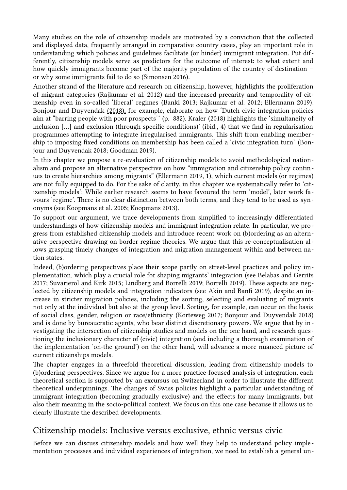Many studies on the role of citizenship models are motivated by a conviction that the collected and displayed data, frequently arranged in comparative country cases, play an important role in understanding which policies and guidelines facilitate (or hinder) immigrant integration. Put differently, citizenship models serve as predictors for the outcome of interest: to what extent and how quickly immigrants become part of the majority population of the country of destination – or why some immigrants fail to do so (Simonsen 2016).

Another strand of the literature and research on citizenship, however, highlights the proliferation of migrant categories (Rajkumar et al. 2012) and the increased precarity and temporality of citizenship even in so-called 'liberal' regimes (Banki 2013; Rajkumar et al. 2012; Ellermann 2019). Bonjour and Duyvendak (2018), for example, elaborate on how 'Dutch civic integration policies aim at "barring people with poor prospects"' (p. 882). Kraler (2018) highlights the 'simultaneity of inclusion […] and exclusion (through specific conditions)' (ibid., 4) that we find in regularisation programmes attempting to integrate irregularised immigrants. This shift from enabling membership to imposing fixed conditions on membership has been called a 'civic integration turn' (Bonjour and Duyvendak 2018; Goodman 2019).

In this chapter we propose a re-evaluation of citizenship models to avoid methodological nationalism and propose an alternative perspective on how "immigration and citizenship policy continues to create hierarchies among migrants" (Ellermann 2019, 1), which current models (or regimes) are not fully equipped to do. For the sake of clarity, in this chapter we systematically refer to 'citizenship models': While earlier research seems to have favoured the term 'model', later work favours 'regime'. There is no clear distinction between both terms, and they tend to be used as synonyms (see Koopmans et al. 2005; Koopmans 2013).

To support our argument, we trace developments from simplified to increasingly differentiated understandings of how citizenship models and immigrant integration relate. In particular, we progress from established citizenship models and introduce recent work on (b)ordering as an alternative perspective drawing on border regime theories. We argue that this re-conceptualisation allows grasping timely changes of integration and migration management within and between nation states.

Indeed, (b)ordering perspectives place their scope partly on street-level practices and policy implementation, which play a crucial role for shaping migrants' integration (see Belabas and Gerrits 2017; Suvarierol and Kirk 2015; Lindberg and Borrelli 2019; Borrelli 2019). These aspects are neglected by citizenship models and integration indicators (see Akin and Banfi 2019), despite an increase in stricter migration policies, including the sorting, selecting and evaluating of migrants not only at the individual but also at the group level. Sorting, for example, can occur on the basis of social class, gender, religion or race/ethnicity (Korteweg 2017; Bonjour and Duyvendak 2018) and is done by bureaucratic agents, who bear distinct discretionary powers. We argue that by investigating the intersection of citizenship studies and models on the one hand, and research questioning the inclusionary character of (civic) integration (and including a thorough examination of the implementation 'on-the ground') on the other hand, will advance a more nuanced picture of current citizenships models.

The chapter engages in a threefold theoretical discussion, leading from citizenship models to (b)ordering perspectives. Since we argue for a more practice-focused analysis of integration, each theoretical section is supported by an excursus on Switzerland in order to illustrate the different theoretical underpinnings. The changes of Swiss policies highlight a particular understanding of immigrant integration (becoming gradually exclusive) and the effects for many immigrants, but also their meaning in the socio-political context. We focus on this one case because it allows us to clearly illustrate the described developments.

## Citizenship models: Inclusive versus exclusive, ethnic versus civic

Before we can discuss citizenship models and how well they help to understand policy implementation processes and individual experiences of integration, we need to establish a general un-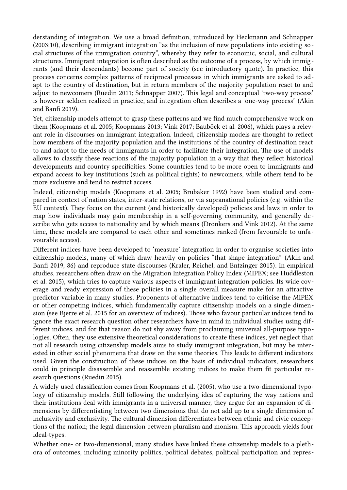derstanding of integration. We use a broad definition, introduced by Heckmann and Schnapper (2003:10), describing immigrant integration "as the inclusion of new populations into existing social structures of the immigration country", whereby they refer to economic, social, and cultural structures. Immigrant integration is often described as the outcome of a process, by which immigrants (and their descendants) become part of society (see introductory quote). In practice, this process concerns complex patterns of reciprocal processes in which immigrants are asked to adapt to the country of destination, but in return members of the majority population react to and adjust to newcomers (Ruedin 2011; Schnapper 2007). This legal and conceptual 'two-way process' is however seldom realized in practice, and integration often describes a 'one-way process' (Akin and Banfi 2019).

Yet, citizenship models attempt to grasp these patterns and we find much comprehensive work on them (Koopmans et al. 2005; Koopmans 2013; Vink 2017; Bauböck et al. 2006), which plays a relevant role in discourses on immigrant integration. Indeed, citizenship models are thought to reflect how members of the majority population and the institutions of the country of destination react to and adapt to the needs of immigrants in order to facilitate their integration. The use of models allows to classify these reactions of the majority population in a way that they reflect historical developments and country specificities. Some countries tend to be more open to immigrants and expand access to key institutions (such as political rights) to newcomers, while others tend to be more exclusive and tend to restrict access.

Indeed, citizenship models (Koopmans et al. 2005; Brubaker 1992) have been studied and compared in context of nation states, inter-state relations, or via supranational policies (e.g. within the EU context). They focus on the current (and historically developed) policies and laws in order to map how individuals may gain membership in a self-governing community, and generally describe who gets access to nationality and by which means (Dronkers and Vink 2012). At the same time, these models are compared to each other and sometimes ranked (from favourable to unfavourable access).

Different indices have been developed to 'measure' integration in order to organise societies into citizenship models, many of which draw heavily on policies "that shape integration" (Akin and Banfi 2019, 86) and reproduce state discourses (Kraler, Reichel, and Entzinger 2015). In empirical studies, researchers often draw on the Migration Integration Policy Index (MIPEX; see Huddleston et al. 2015), which tries to capture various aspects of immigrant integration policies. Its wide coverage and ready expression of these policies in a single overall measure make for an attractive predictor variable in many studies. Proponents of alternative indices tend to criticise the MIPEX or other competing indices, which fundamentally capture citizenship models on a single dimension (see Bjerre et al. 2015 for an overview of indices). Those who favour particular indices tend to ignore the exact research question other researchers have in mind in individual studies using different indices, and for that reason do not shy away from proclaiming universal all-purpose typologies. Often, they use extensive theoretical considerations to create these indices, yet neglect that not all research using citizenship models aims to study immigrant integration, but may be interested in other social phenomena that draw on the same theories. This leads to different indicators used. Given the construction of these indices on the basis of individual indicators, researchers could in principle disassemble and reassemble existing indices to make them fit particular research questions (Ruedin 2015).

A widely used classification comes from Koopmans et al. (2005), who use a two-dimensional typology of citizenship models. Still following the underlying idea of capturing the way nations and their institutions deal with immigrants in a universal manner, they argue for an expansion of dimensions by differentiating between two dimensions that do not add up to a single dimension of inclusivity and exclusivity. The cultural dimension differentiates between ethnic and civic conceptions of the nation; the legal dimension between pluralism and monism. This approach yields four ideal-types.

Whether one- or two-dimensional, many studies have linked these citizenship models to a plethora of outcomes, including minority politics, political debates, political participation and repres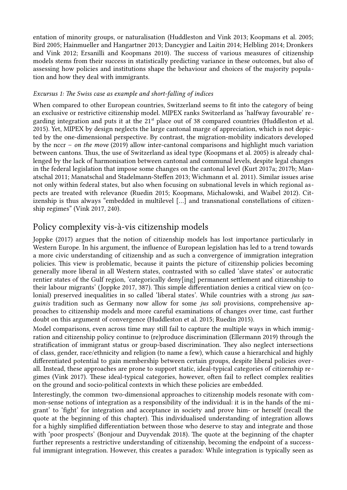entation of minority groups, or naturalisation (Huddleston and Vink 2013; Koopmans et al. 2005; Bird 2005; Hainmueller and Hangartner 2013; Dancygier and Laitin 2014; Helbling 2014; Dronkers and Vink 2012; Ersanilli and Koopmans 2010). The success of various measures of citizenship models stems from their success in statistically predicting variance in these outcomes, but also of assessing how policies and institutions shape the behaviour and choices of the majority population and how they deal with immigrants.

## *Excursus 1: The Swiss case as example and short-falling of indices*

When compared to other European countries, Switzerland seems to fit into the category of being an exclusive or restrictive citizenship model. MIPEX ranks Switzerland as 'halfway favourable' regarding integration and puts it at the  $21<sup>st</sup>$  place out of 38 compared countries (Huddleston et al. 2015). Yet, MIPEX by design neglects the large cantonal marge of appreciation, which is not depicted by the one-dimensional perspective. By contrast, the migration-mobility indicators developed by the nccr – *on the move* (2019) allow inter-cantonal comparisons and highlight much variation between cantons. Thus, the use of Switzerland as ideal type (Koopmans et al. 2005) is already challenged by the lack of harmonisation between cantonal and communal levels, despite legal changes in the federal legislation that impose some changes on the cantonal level (Kurt 2017a; 2017b; Manatschal 2011; Manatschal and Stadelmann-Steffen 2013; Wichmann et al. 2011). Similar issues arise not only within federal states, but also when focusing on subnational levels in which regional aspects are treated with relevance (Ruedin 2015; Koopmans, Michalowski, and Waibel 2012). Citizenship is thus always "embedded in multilevel […] and transnational constellations of citizenship regimes" (Vink 2017, 240).

# Policy complexity vis-à-vis citizenship models

Joppke (2017) argues that the notion of citizenship models has lost importance particularly in Western Europe. In his argument, the influence of European legislation has led to a trend towards a more civic understanding of citizenship and as such a convergence of immigration integration policies. This view is problematic, because it paints the picture of citizenship policies becoming generally more liberal in all Western states, contrasted with so called 'slave states' or autocratic rentier states of the Gulf region, 'categorically deny[ing] permanent settlement and citizenship to their labour migrants' (Joppke 2017, 387). This simple differentiation denies a critical view on (colonial) preserved inequalities in so called 'liberal states'. While countries with a strong *jus sanguinis* tradition such as Germany now allow for some *jus soli* provisions, comprehensive approaches to citizenship models and more careful examinations of changes over time, cast further doubt on this argument of convergence (Huddleston et al. 2015; Ruedin 2015).

Model comparisons, even across time may still fail to capture the multiple ways in which immigration and citizenship policy continue to (re)produce discrimination (Ellermann 2019) through the stratification of immigrant status or group-based discrimination. They also neglect intersections of class, gender, race/ethnicity and religion (to name a few), which cause a hierarchical and highly differentiated potential to gain membership between certain groups, despite liberal policies overall. Instead, these approaches are prone to support static, ideal-typical categories of citizenship regimes (Vink 2017). These ideal-typical categories, however, often fail to reflect complex realities on the ground and socio-political contexts in which these policies are embedded.

Interestingly, the common two-dimensional approaches to citizenship models resonate with common-sense notions of integration as a responsibility of the individual: it is in the hands of the migrant' to 'fight' for integration and acceptance in society and prove him- or herself (recall the quote at the beginning of this chapter). This individualised understanding of integration allows for a highly simplified differentiation between those who deserve to stay and integrate and those with 'poor prospects' (Bonjour and Duyvendak 2018). The quote at the beginning of the chapter further represents a restrictive understanding of citizenship, becoming the endpoint of a successful immigrant integration. However, this creates a paradox: While integration is typically seen as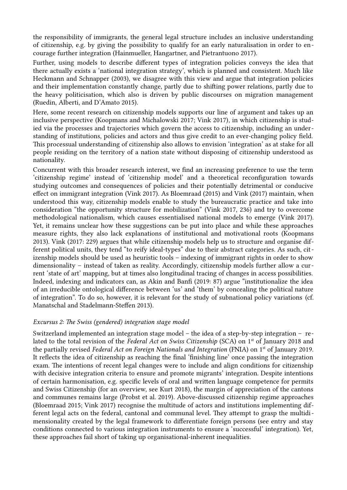the responsibility of immigrants, the general legal structure includes an inclusive understanding of citizenship, e.g. by giving the possibility to qualify for an early naturalisation in order to encourage further integration (Hainmueller, Hangartner, and Pietrantuono 2017).

Further, using models to describe different types of integration policies conveys the idea that there actually exists a 'national integration strategy', which is planned and consistent. Much like Heckmann and Schnapper (2003), we disagree with this view and argue that integration policies and their implementation constantly change, partly due to shifting power relations, partly due to the heavy politicisation, which also is driven by public discourses on migration management (Ruedin, Alberti, and D'Amato 2015).

Here, some recent research on citizenship models supports our line of argument and takes up an inclusive perspective (Koopmans and Michalowski 2017; Vink 2017), in which citizenship is studied via the processes and trajectories which govern the access to citizenship, including an understanding of institutions, policies and actors and thus give credit to an ever-changing policy field. This processual understanding of citizenship also allows to envision 'integration' as at stake for all people residing on the territory of a nation state without disposing of citizenship understood as nationality.

Concurrent with this broader research interest, we find an increasing preference to use the term 'citizenship regime' instead of 'citizenship model' and a theoretical reconfiguration towards studying outcomes and consequences of policies and their potentially detrimental or conducive effect on immigrant integration (Vink 2017). As Bloemraad (2015) and Vink (2017) maintain, when understood this way, citizenship models enable to study the bureaucratic practice and take into consideration "the opportunity structure for mobilization" (Vink 2017, 236) and try to overcome methodological nationalism, which causes essentialised national models to emerge (Vink 2017). Yet, it remains unclear how these suggestions can be put into place and while these approaches measure rights, they also lack explanations of institutional and motivational roots (Koopmans 2013). Vink (2017: 229) argues that while citizenship models help us to structure and organise different political units, they tend "to reify ideal-types" due to their abstract categories. As such, citizenship models should be used as heuristic tools – indexing of immigrant rights in order to show dimensionality – instead of taken as reality. Accordingly, citizenship models further allow a current 'state of art' mapping, but at times also longitudinal tracing of changes in access possibilities. Indeed, indexing and indicators can, as Akin and Banfi (2019: 87) argue "institutionalize the idea of an irreducible ontological difference between 'us' and 'them' by concealing the political nature of integration". To do so, however, it is relevant for the study of subnational policy variations (cf. Manatschal and Stadelmann-Steffen 2013).

## *Excursus 2: The Swiss (gendered) integration stage model*

Switzerland implemented an integration stage model – the idea of a step-by-step integration – related to the total revision of the *Federal Act on Swiss Citizenship* (SCA) on 1<sup>st</sup> of January 2018 and the partially revised *Federal Act on Foreign Nationals and Integration* (FNIA) on 1st of January 2019. It reflects the idea of citizenship as reaching the final 'finishing line' once passing the integration exam. The intentions of recent legal changes were to include and align conditions for citizenship with decisive integration criteria to ensure and promote migrants' integration. Despite intentions of certain harmonisation, e.g. specific levels of oral and written language competence for permits and Swiss Citizenship (for an overview, see Kurt 2018), the margin of appreciation of the cantons and communes remains large (Probst et al. 2019). Above-discussed citizenship regime approaches (Bloemraad 2015; Vink 2017) recognise the multitude of actors and institutions implementing different legal acts on the federal, cantonal and communal level. They attempt to grasp the multidimensionality created by the legal framework to differentiate foreign persons (see entry and stay conditions connected to various integration instruments to ensure a 'successful' integration). Yet, these approaches fail short of taking up organisational-inherent inequalities.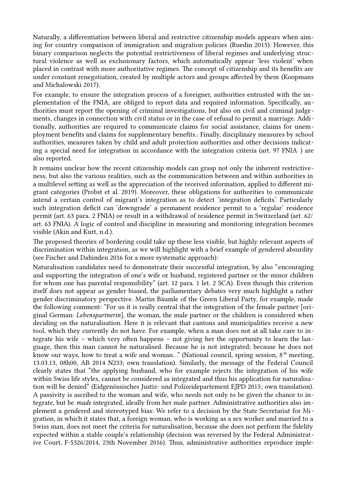Naturally, a differentiation between liberal and restrictive citizenship models appears when aiming for country comparison of immigration and migration policies (Ruedin 2015). However, this binary comparison neglects the potential restrictiveness of liberal regimes and underlying structural violence as well as exclusionary factors, which automatically appear 'less violent' when placed in contrast with more authoritative regimes. The concept of citizenship and its benefits are under constant renegotiation, created by multiple actors and groups affected by them (Koopmans and Michalowski 2017).

For example, to ensure the integration process of a foreigner, authorities entrusted with the implementation of the FNIA, are obliged to report data and required information. Specifically, authorities must report the opening of criminal investigations, but also on civil and criminal judgements, changes in connection with civil status or in the case of refusal to permit a marriage. Additionally, authorities are required to communicate claims for social assistance, claims for unemployment benefits and claims for supplementary benefits.*.* Finally, disciplinary measures by school authorities, measures taken by child and adult protection authorities and other decisions indicating a special need for integration in accordance with the integration criteria (art. 97 FNIA ) are also reported.

It remains unclear how the recent citizenship models can grasp not only the inherent restrictiveness, but also the various realities, such as the communication between and within authorities in a multilevel setting as well as the appreciation of the received information, applied to different migrant categories (Probst et al. 2019). Moreover, these obligations for authorities to communicate intend a certain control of migrant's integration as to detect 'integration deficits.' Particularly such integration deficit can 'downgrade' a permanent residence permit to a 'regular' residence permit (art. 63 para. 2 FNIA) or result in a withdrawal of residence permit in Switzerland (art. 62/ art. 63 FNIA). A logic of control and discipline in measuring and monitoring integration becomes visible (Akin and Kurt, n.d.).

The proposed theories of bordering could take up these less visible, but highly relevant aspects of discrimination within integration, as we will highlight with a brief example of gendered absurdity (see Fischer and Dahinden 2016 for a more systematic approach):

Naturalisation candidates need to demonstrate their successful integration, by also "encouraging and supporting the integration of one's wife or husband, registered partner or the minor children for whom one has parental responsibility" (art. 12 para. 1 let. 2 SCA). Even though this criterion itself does not appear as gender biased, the parliamentary debates very much highlight a rather gender discriminatory perspective. Martin Bäumle of the Green Liberal Party, for example, made the following comment: "For us it is really central that the integration of the female partner [original German: *Lebenspartnerin*], the woman, the male partner or the children is considered when deciding on the naturalisation. Here it is relevant that cantons and municipalities receive a new tool, which they currently do not have. For example, when a man does not at all take care to integrate his wife – which very often happens – not giving her the opportunity to learn the language, then this man cannot be naturalised. Because he is not integrated; because he does not know our ways, how to treat a wife and woman..." (National council, spring session,  $8<sup>th</sup>$  meeting, 13.03.13, 08h00, AB 2014 N233; own translation). Similarly, the message of the Federal Council clearly states that "the applying husband, who for example rejects the integration of his wife within Swiss life styles, cannot be considered as integrated and thus his application for naturalisation will be denied" (Eidgenössisches Justiz- und Polizeidepartement EJPD 2015; own translation). A passivity is ascribed to the woman and wife, who needs not only to be given the chance to integrate, but be *made* integrated, ideally from her male partner. Administrative authorities also implement a gendered and stereotyped bias: We refer to a decision by the State Secretariat for Migration, in which it states that, a foreign woman, who is working as a sex worker and married to a Swiss man, does not meet the criteria for naturalisation, because she does not perform the fidelity expected within a stable couple's relationship (decision was reversed by the Federal Administrative Court, F-5326/2014, 23th November 2016). Thus, administrative authorities reproduce imple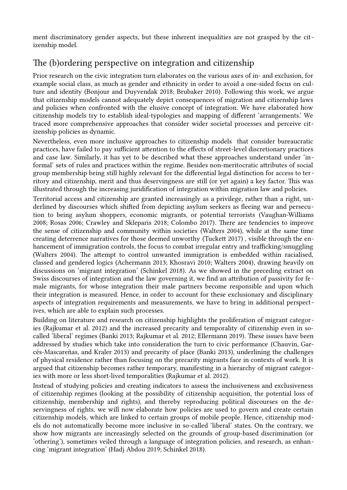ment discriminatory gender aspects, but these inherent inequalities are not grasped by the citizenship model.

# The (b)ordering perspective on integration and citizenship

Prior research on the civic integration turn elaborates on the various axes of in- and exclusion, for example social class, as much as gender and ethnicity in order to avoid a one-sided focus on culture and identity (Bonjour and Duyvendak 2018; Brubaker 2010). Following this work, we argue that citizenship models cannot adequately depict consequences of migration and citizenship laws and policies when confronted with the elusive concept of integration. We have elaborated how citizenship models try to establish ideal-typologies and mapping of different 'arrangements.' We traced more comprehensive approaches that consider wider societal processes and perceive citizenship policies as dynamic.

Nevertheless, even more inclusive approaches to citizenship models that consider bureaucratic practices, have failed to pay sufficient attention to the effects of street-level discretionary practices and case law. Similarly, it has yet to be described what these approaches understand under 'informal' sets of rules and practices within the regime. Besides non-meritocratic attributes of social group membership being still highly relevant for the differential legal distinction for access to territory and citizenship, merit and thus deservingness are still (or yet again) a key factor. This was illustrated through the increasing juridification of integration within migration law and policies.

Territorial access and citizenship are granted increasingly as a privilege, rather than a right, underlined by discourses which shifted from depicting asylum seekers as fleeing war and persecution to being asylum shoppers, economic migrants, or potential terrorists (Vaughan-Williams 2008; Rosas 2006; Crawley and Skleparis 2018; Colombo 2017). There are tendencies to improve the sense of citizenship and community within societies (Walters 2004), while at the same time creating deterrence narratives for those deemed unworthy (Tuckett 2017) , visible through the enhancement of immigration controls, the focus to combat irregular entry and trafficking/smuggling (Walters 2004). The attempt to control unwanted immigration is embedded within racialised, classed and gendered logics (Achermann 2013; Khosravi 2010; Walters 2004), drawing heavily on discussions on 'migrant integration' (Schinkel 2018). As we showed in the preceding extract on Swiss discourses of integration and the law governing it, we find an attribution of passivity for fe male migrants, for whose integration their male partners become responsible and upon which their integration is measured. Hence, in order to account for these exclusionary and disciplinary aspects of integration requirements and measurements, we have to bring in additional perspectives, which are able to explain such processes.

Building on literature and research on citizenship highlights the proliferation of migrant categories (Rajkumar et al. 2012) and the increased precarity and temporality of citizenship even in socalled 'liberal' regimes (Banki 2013; Rajkumar et al. 2012; Ellermann 2019). These issues have been addressed by studies which take into consideration the turn to civic performance (Chauvin, Garcés‐Mascareñas, and Kraler 2013) and precarity of place (Banki 2013), underlining the challenges of physical residence rather than focusing on the precarity migrants face in contexts of work. It is argued that citizenship becomes rather temporary, manifesting in a hierarchy of migrant categories with more or less short-lived temporalities (Rajkumar et al. 2012).

Instead of studying policies and creating indicators to assess the inclusiveness and exclusiveness of citizenship regimes (looking at the possibility of citizenship acquisition, the potential loss of citizenship, membership and rights), and thereby reproducing political discourses on the deservingness of rights, we will now elaborate how policies are used to govern and create certain citizenship models, which are linked to certain groups of mobile people. Hence, citizenship models do not automatically become more inclusive in so-called 'liberal' states. On the contrary, we show how migrants are increasingly selected on the grounds of group-based discrimination (or 'othering'), sometimes veiled through a language of integration policies, and research, as enhancing 'migrant integration' (Hadj Abdou 2019; Schinkel 2018).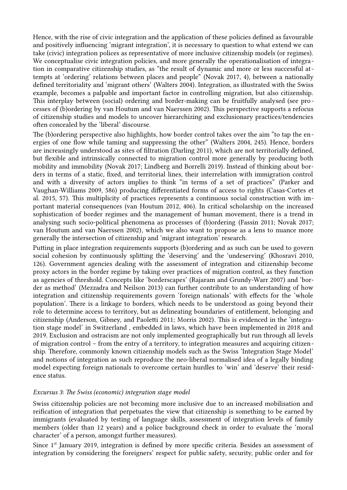Hence, with the rise of civic integration and the application of these policies defined as favourable and positively influencing 'migrant integration', it is necessary to question to what extend we can take (civic) integration polices as representative of more inclusive citizenship models (or regimes). We conceptualise civic integration policies, and more generally the operationalisation of integration in comparative citizenship studies, as "the result of dynamic and more or less successful attempts at 'ordering' relations between places and people" (Novak 2017, 4), between a nationally defined territoriality and 'migrant others' (Walters 2004). Integration, as illustrated with the Swiss example, becomes a palpable and important factor in controlling migration, but also citizenship. This interplay between (social) ordering and border-making can be fruitfully analysed (see processes of (b)ordering by van Houtum and van Naerssen 2002). This perspective supports a refocus of citizenship studies and models to uncover hierarchizing and exclusionary practices/tendencies often concealed by the 'liberal' discourse.

The (b)ordering perspective also highlights, how border control takes over the aim "to tap the energies of one flow while taming and suppressing the other" (Walters 2004, 245). Hence, borders are increasingly understood as sites of filtration (Darling 2011), which are not territorially defined, but flexible and intrinsically connected to migration control more generally by producing both mobility and immobility (Novak 2017; Lindberg and Borrelli 2019). Instead of thinking about borders in terms of a static, fixed, and territorial lines, their interrelation with immigration control and with a diversity of actors implies to think "in terms of a set of practices" (Parker and Vaughan-Williams 2009, 586) producing differentiated forms of access to rights (Casas-Cortes et al. 2015, 57). This multiplicity of practices represents a continuous social construction with important material consequences (van Houtum 2012, 406). In critical scholarship on the increased sophistication of border regimes and the management of human movement, there is a trend in analysing such socio-political phenomena as processes of (b)ordering (Fassin 2011; Novak 2017; van Houtum and van Naerssen 2002), which we also want to propose as a lens to nuance more generally the intersection of citizenship and 'migrant integration' research.

Putting in place integration requirements supports (b)ordering and as such can be used to govern social cohesion by continuously splitting the 'deserving' and the 'undeserving' (Khosravi 2010, 126). Government agencies dealing with the assessment of integration and citizenship become proxy actors in the border regime by taking over practices of migration control, as they function as agencies of threshold. Concepts like 'borderscapes' (Rajaram and Grundy-Warr 2007) and 'border as method' (Mezzadra and Neilson 2013) can further contribute to an understanding of how integration and citizenship requirements govern 'foreign nationals' with effects for the 'whole population'. There is a linkage to borders, which needs to be understood as going beyond their role to determine access to territory, but as delineating boundaries of entitlement, belonging and citizenship (Anderson, Gibney, and Paoletti 2011; Morris 2002). This is evidenced in the 'integration stage model' in Switzerland , embedded in laws, which have been implemented in 2018 and 2019. Exclusion and ostracism are not only implemented geographically but run through all levels of migration control – from the entry of a territory, to integration measures and acquiring citizenship. Therefore, commonly known citizenship models such as the Swiss 'Integration Stage Model' and notions of integration as such reproduce the neo-liberal normalised idea of a legally binding model expecting foreign nationals to overcome certain hurdles to 'win' and 'deserve' their residence status.

#### *Excursus 3: The Swiss (economic) integration stage model*

Swiss citizenship policies are not becoming more inclusive due to an increased mobilisation and reification of integration that perpetuates the view that citizenship is something to be earned by immigrants (evaluated by testing of language skills, assessment of integration levels of family members (older than 12 years) and a police background check in order to evaluate the 'moral character' of a person, amongst further measures).

Since 1<sup>st</sup> January 2019, integration is defined by more specific criteria. Besides an assessment of integration by considering the foreigners' respect for public safety, security, public order and for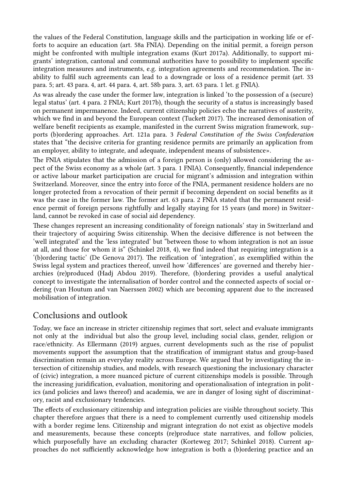the values of the Federal Constitution, language skills and the participation in working life or efforts to acquire an education (art. 58a FNIA). Depending on the initial permit, a foreign person might be confronted with multiple integration exams (Kurt 2017a). Additionally, to support migrants' integration, cantonal and communal authorities have to possibility to implement specific integration measures and instruments, e.g. integration agreements and recommendation. The inability to fulfil such agreements can lead to a downgrade or loss of a residence permit (art. 33 para. 5; art. 43 para. 4, art. 44 para. 4, art. 58b para. 3, art. 63 para. 1 let. g FNIA).

As was already the case under the former law, integration is linked 'to the possession of a (secure) legal status' (art. 4 para. 2 FNIA; Kurt 2017b), though the security of a status is increasingly based on permanent impermanence. Indeed, current citizenship policies echo the narratives of austerity, which we find in and beyond the European context (Tuckett 2017). The increased demonisation of welfare benefit recipients as example, manifested in the current Swiss migration framework, supports (b)ordering approaches. Art. 121a para. 3 *Federal Constitution of the Swiss Confederation* states that "the decisive criteria for granting residence permits are primarily an application from an employer, ability to integrate, and adequate, independent means of subsistence».

The FNIA stipulates that the admission of a foreign person is (only) allowed considering the aspect of the Swiss economy as a whole (art. 3 para. 1 FNIA). Consequently, financial independence or active labour market participation are crucial for migrant's admission and integration within Switzerland. Moreover, since the entry into force of the FNIA, permanent residence holders are no longer protected from a revocation of their permit if becoming dependent on social benefits as it was the case in the former law. The former art. 63 para. 2 FNIA stated that the permanent residence permit of foreign persons rightfully and legally staying for 15 years (and more) in Switzerland, cannot be revoked in case of social aid dependency.

These changes represent an increasing conditionality of foreign nationals' stay in Switzerland and their trajectory of acquiring Swiss citizenship. When the decisive difference is not between the 'well integrated' and the 'less integrated' but "between those to whom integration is not an issue at all, and those for whom it is" (Schinkel 2018, 4), we find indeed that requiring integration is a '(b)ordering tactic' (De Genova 2017). The reification of 'integration', as exemplified within the Swiss legal system and practices thereof, unveil how 'differences' are governed and thereby hierarchies (re)produced (Hadj Abdou 2019). Therefore, (b)ordering provides a useful analytical concept to investigate the internalisation of border control and the connected aspects of social ordering (van Houtum and van Naerssen 2002) which are becoming apparent due to the increased mobilisation of integration.

# Conclusions and outlook

Today, we face an increase in stricter citizenship regimes that sort, select and evaluate immigrants not only at the individual but also the group level, including social class, gender, religion or race/ethnicity. As Ellermann (2019) argues, current developments such as the rise of populist movements support the assumption that the stratification of immigrant status and group-based discrimination remain an everyday reality across Europe. We argued that by investigating the intersection of citizenship studies, and models, with research questioning the inclusionary character of (civic) integration, a more nuanced picture of current citizenships models is possible. Through the increasing juridification, evaluation, monitoring and operationalisation of integration in politics (and policies and laws thereof) and academia, we are in danger of losing sight of discriminatory, racist and exclusionary tendencies.

The effects of exclusionary citizenship and integration policies are visible throughout society. This chapter therefore argues that there is a need to complement currently used citizenship models with a border regime lens. Citizenship and migrant integration do not exist as objective models and measurements, because these concepts (re)produce state narratives, and follow policies, which purposefully have an excluding character (Korteweg 2017; Schinkel 2018). Current approaches do not sufficiently acknowledge how integration is both a (b)ordering practice and an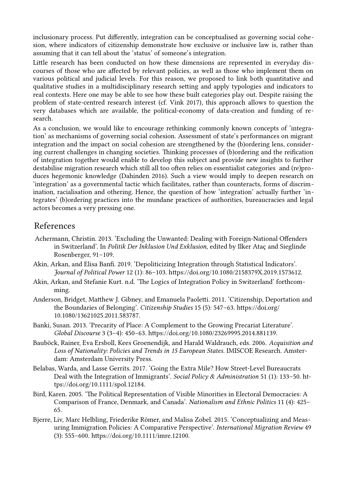inclusionary process. Put differently, integration can be conceptualised as governing social cohesion, where indicators of citizenship demonstrate how exclusive or inclusive law is, rather than assuming that it can tell about the 'status' of someone's integration.

Little research has been conducted on how these dimensions are represented in everyday discourses of those who are affected by relevant policies, as well as those who implement them on various political and judicial levels. For this reason, we proposed to link both quantitative and qualitative studies in a multidisciplinary research setting and apply typologies and indicators to real contexts. Here one may be able to see how these built categories play out. Despite raising the problem of state-centred research interest (cf. Vink 2017), this approach allows to question the very databases which are available, the political-economy of data-creation and funding of research.

As a conclusion, we would like to encourage rethinking commonly known concepts of 'integration' as mechanisms of governing social cohesion. Assessment of state's performances on migrant integration and the impact on social cohesion are strengthened by the (b)ordering lens, considering current challenges in changing societies. Thinking processes of (b)ordering and the reification of integration together would enable to develop this subject and provide new insights to further destabilise migration research which still all too often relies on essentialist categories and (re)produces hegemonic knowledge (Dahinden 2016). Such a view would imply to deepen research on 'integration' as a governmental tactic which facilitates, rather than counteracts, forms of discrimination, racialisation and othering. Hence, the question of how 'integration' actually further 'integrates' (b)ordering practices into the mundane practices of authorities, bureaucracies and legal actors becomes a very pressing one.

## References

- Achermann, Christin. 2013. 'Excluding the Unwanted: Dealing with Foreign-National Offenders in Switzerland'. In *Politik Der Inklusion Und Exklusion*, edited by Ilker Ataç and Sieglinde Rosenberger, 91–109.
- Akin, Arkan, and Elisa Banfi. 2019. 'Depoliticizing Integration through Statistical Indicators'. *Journal of Political Power* 12 (1): 86–103. https://doi.org/10.1080/2158379X.2019.1573612.
- Akin, Arkan, and Stefanie Kurt. n.d. 'The Logics of Integration Policy in Switzerland' forthcomming.
- Anderson, Bridget, Matthew J. Gibney, and Emanuela Paoletti. 2011. 'Citizenship, Deportation and the Boundaries of Belonging'. *Citizenship Studies* 15 (5): 547–63. https://doi.org/ 10.1080/13621025.2011.583787.
- Banki, Susan. 2013. 'Precarity of Place: A Complement to the Growing Precariat Literature'. *Global Discourse* 3 (3–4): 450–63. https://doi.org/10.1080/23269995.2014.881139.
- Bauböck, Rainer, Eva Ersboll, Kees Groenendijk, and Harald Waldrauch, eds. 2006. *Acquisition and Loss of Nationality: Policies and Trends in 15 European States*. IMISCOE Research. Amsterdam: Amsterdam University Press.
- Belabas, Warda, and Lasse Gerrits. 2017. 'Going the Extra Mile? How Street-Level Bureaucrats Deal with the Integration of Immigrants'. *Social Policy & Administration* 51 (1): 133–50. https://doi.org/10.1111/spol.12184.
- Bird, Karen. 2005. 'The Political Representation of Visible Minorities in Electoral Democracies: A Comparison of France, Denmark, and Canada'. *Nationalism and Ethnic Politics* 11 (4): 425– 65.
- Bjerre, Liv, Marc Helbling, Friederike Römer, and Malisa Zobel. 2015. 'Conceptualizing and Measuring Immigration Policies: A Comparative Perspective'. *International Migration Review* 49 (3): 555–600. https://doi.org/10.1111/imre.12100.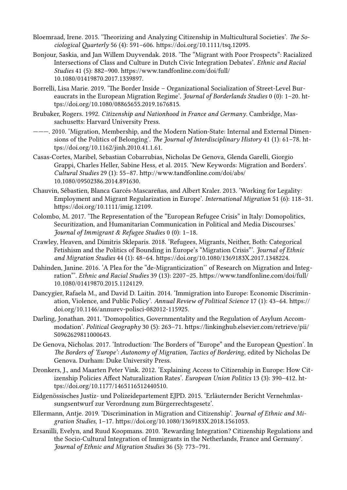- Bloemraad, Irene. 2015. 'Theorizing and Analyzing Citizenship in Multicultural Societies'. *The Sociological Quarterly* 56 (4): 591–606. https://doi.org/10.1111/tsq.12095.
- Bonjour, Saskia, and Jan Willem Duyvendak. 2018. 'The "Migrant with Poor Prospects": Racialized Intersections of Class and Culture in Dutch Civic Integration Debates'. *Ethnic and Racial Studies* 41 (5): 882–900. https://www.tandfonline.com/doi/full/ 10.1080/01419870.2017.1339897.
- Borrelli, Lisa Marie. 2019. 'The Border Inside Organizational Socialization of Street-Level Bureaucrats in the European Migration Regime'. *Journal of Borderlands Studies* 0 (0): 1–20. https://doi.org/10.1080/08865655.2019.1676815.
- Brubaker, Rogers. 1992. *Citizenship and Nationhood in France and Germany*. Cambridge, Massachusetts: Harvard University Press.
- ———. 2010. 'Migration, Membership, and the Modern Nation-State: Internal and External Dimensions of the Politics of Belonging'. *The Journal of Interdisciplinary History* 41 (1): 61–78. https://doi.org/10.1162/jinh.2010.41.1.61.
- Casas-Cortes, Maribel, Sebastian Cobarrubias, Nicholas De Genova, Glenda Garelli, Giorgio Grappi, Charles Heller, Sabine Hess, et al. 2015. 'New Keywords: Migration and Borders'. *Cultural Studies* 29 (1): 55–87. http://www.tandfonline.com/doi/abs/ 10.1080/09502386.2014.891630.
- Chauvin, Sébastien, Blanca Garcés‐Mascareñas, and Albert Kraler. 2013. 'Working for Legality: Employment and Migrant Regularization in Europe'. *International Migration* 51 (6): 118–31. https://doi.org/10.1111/imig.12109.
- Colombo, M. 2017. 'The Representation of the "European Refugee Crisis" in Italy: Domopolitics, Securitization, and Humanitarian Communication in Political and Media Discourses.' *Journal of Immigrant & Refugee Studies* 0 (0): 1–18.
- Crawley, Heaven, and Dimitris Skleparis. 2018. 'Refugees, Migrants, Neither, Both: Categorical Fetishism and the Politics of Bounding in Europe's "Migration Crisis"'. *Journal of Ethnic and Migration Studies* 44 (1): 48–64. https://doi.org/10.1080/1369183X.2017.1348224.
- Dahinden, Janine. 2016. 'A Plea for the "de-Migranticization'' of Research on Migration and Integration"'. *Ethnic and Racial Studies* 39 (13): 2207–25. https://www.tandfonline.com/doi/full/ 10.1080/01419870.2015.1124129.
- Dancygier, Rafaela M., and David D. Laitin. 2014. 'Immigration into Europe: Economic Discrimination, Violence, and Public Policy'. *Annual Review of Political Science* 17 (1): 43–64. https:// doi.org/10.1146/annurev-polisci-082012-115925.
- Darling, Jonathan. 2011. 'Domopolitics, Governmentality and the Regulation of Asylum Accommodation'. *Political Geography* 30 (5): 263–71. https://linkinghub.elsevier.com/retrieve/pii/ S0962629811000643.
- De Genova, Nicholas. 2017. 'Introduction: The Borders of "Europe" and the European Question'. In *The Borders of 'Europe': Autonomy of Migration, Tactics of Bordering*, edited by Nicholas De Genova. Durham: Duke University Press.
- Dronkers, J., and Maarten Peter Vink. 2012. 'Explaining Access to Citizenship in Europe: How Citizenship Policies Affect Naturalization Rates'. *European Union Politics* 13 (3): 390–412. https://doi.org/10.1177/1465116512440510.
- Eidgenössisches Justiz- und Polizeidepartement EJPD. 2015. 'Erläuternder Bericht Vernehmlassungsentwurf zur Verordnung zum Bürgerrechtsgesetz'.
- Ellermann, Antje. 2019. 'Discrimination in Migration and Citizenship'. *Journal of Ethnic and Migration Studies*, 1–17. https://doi.org/10.1080/1369183X.2018.1561053.
- Ersanilli, Evelyn, and Ruud Koopmans. 2010. 'Rewarding Integration? Citizenship Regulations and the Socio-Cultural Integration of Immigrants in the Netherlands, France and Germany'. *Journal of Ethnic and Migration Studies* 36 (5): 773–791.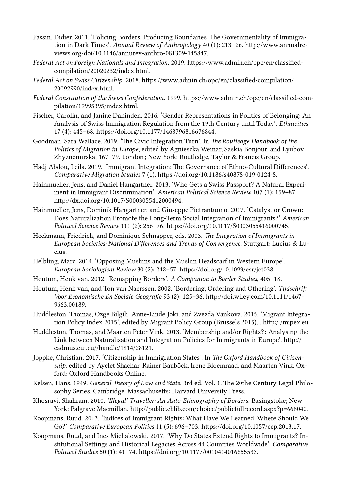- Fassin, Didier. 2011. 'Policing Borders, Producing Boundaries. The Governmentality of Immigration in Dark Times'. *Annual Review of Anthropology* 40 (1): 213–26. http://www.annualreviews.org/doi/10.1146/annurev-anthro-081309-145847.
- *Federal Act on Foreign Nationals and Integration*. 2019. https://www.admin.ch/opc/en/classifiedcompilation/20020232/index.html.
- *Federal Act on Swiss Citizenship*. 2018. https://www.admin.ch/opc/en/classified-compilation/ 20092990/index.html.
- *Federal Constitution of the Swiss Confederation*. 1999. https://www.admin.ch/opc/en/classified-compilation/19995395/index.html.
- Fischer, Carolin, and Janine Dahinden. 2016. 'Gender Representations in Politics of Belonging: An Analysis of Swiss Immigration Regulation from the 19th Century until Today'. *Ethnicities* 17 (4): 445–68. https://doi.org/10.1177/1468796816676844.
- Goodman, Sara Wallace. 2019. 'The Civic Integration Turn'. In *The Routledge Handbook of the Politics of Migration in Europe*, edited by Agnieszka Weinar, Saskia Bonjour, and Lyubov Zhyznomirska, 167-79. London; New York: Routledge, Taylor & Francis Group.
- Hadj Abdou, Leila. 2019. 'Immigrant Integration: The Governance of Ethno-Cultural Differences'. *Comparative Migration Studies* 7 (1). https://doi.org/10.1186/s40878-019-0124-8.
- Hainmueller, Jens, and Daniel Hangartner. 2013. 'Who Gets a Swiss Passport? A Natural Experiment in Immigrant Discrimination'. *American Political Science Review* 107 (1): 159–87. http://dx.doi.org/10.1017/S0003055412000494.
- Hainmueller, Jens, Dominik Hangartner, and Giuseppe Pietrantuono. 2017. 'Catalyst or Crown: Does Naturalization Promote the Long-Term Social Integration of Immigrants?' *American Political Science Review* 111 (2): 256–76. https://doi.org/10.1017/S0003055416000745.
- Heckmann, Friedrich, and Dominique Schnapper, eds. 2003. *The Integration of Immigrants in European Societies: National Differences and Trends of Convergence*. Stuttgart: Lucius & Lucius.
- Helbling, Marc. 2014. 'Opposing Muslims and the Muslim Headscarf in Western Europe'. *European Sociological Review* 30 (2): 242–57. https://doi.org/10.1093/esr/jct038.
- Houtum, Henk van. 2012. 'Remapping Borders'. *A Companion to Border Studies*, 405–18.
- Houtum, Henk van, and Ton van Naerssen. 2002. 'Bordering, Ordering and Othering'. *Tijdschrift Voor Economische En Sociale Geografie* 93 (2): 125–36. http://doi.wiley.com/10.1111/1467- 9663.00189.
- Huddleston, Thomas, Ozge Bilgili, Anne-Linde Joki, and Zvezda Vankova. 2015. 'Migrant Integration Policy Index 2015', edited by Migrant Policy Group (Brussels 2015), . http:/ /mipex.eu.
- Huddleston, Thomas, and Maarten Peter Vink. 2013. 'Membership and/or Rights? : Analysing the Link between Naturalisation and Integration Policies for Immigrants in Europe'. http:// cadmus.eui.eu//handle/1814/28121.
- Joppke, Christian. 2017. 'Citizenship in Immigration States'. In *The Oxford Handbook of Citizenship*, edited by Ayelet Shachar, Rainer Bauböck, Irene Bloemraad, and Maarten Vink. Oxford: Oxford Handbooks Online.
- Kelsen, Hans. 1949. *General Theory of Law and State*. 3rd ed. Vol. 1. The 20the Century Legal Philosophy Series. Cambridge, Massachusetts: Harvard University Press.
- Khosravi, Shahram. 2010. *'Illegal' Traveller: An Auto-Ethnography of Borders*. Basingstoke; New York: Palgrave Macmillan. http://public.eblib.com/choice/publicfullrecord.aspx?p=668040.
- Koopmans, Ruud. 2013. 'Indices of Immigrant Rights: What Have We Learned, Where Should We Go?' *Comparative European Politics* 11 (5): 696–703. https://doi.org/10.1057/cep.2013.17.
- Koopmans, Ruud, and Ines Michalowski. 2017. 'Why Do States Extend Rights to Immigrants? Institutional Settings and Historical Legacies Across 44 Countries Worldwide'. *Comparative Political Studies* 50 (1): 41–74. https://doi.org/10.1177/0010414016655533.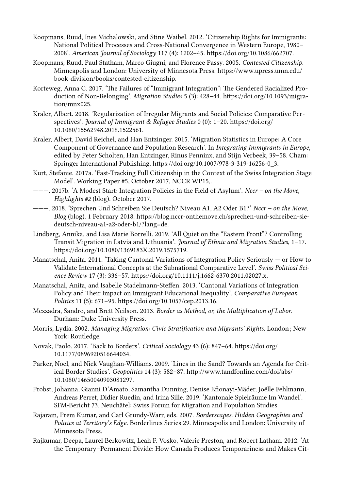- Koopmans, Ruud, Ines Michalowski, and Stine Waibel. 2012. 'Citizenship Rights for Immigrants: National Political Processes and Cross-National Convergence in Western Europe, 1980– 2008'. *American Journal of Sociology* 117 (4): 1202–45. https://doi.org/10.1086/662707.
- Koopmans, Ruud, Paul Statham, Marco Giugni, and Florence Passy. 2005. *Contested Citizenship*. Minneapolis and London: University of Minnesota Press. https://www.upress.umn.edu/ book-division/books/contested-citizenship.
- Korteweg, Anna C. 2017. 'The Failures of "Immigrant Integration": The Gendered Racialized Production of Non-Belonging'. *Migration Studies* 5 (3): 428–44. https://doi.org/10.1093/migration/mnx025.
- Kraler, Albert. 2018. 'Regularization of Irregular Migrants and Social Policies: Comparative Perspectives'. *Journal of Immigrant & Refugee Studies* 0 (0): 1–20. https://doi.org/ 10.1080/15562948.2018.1522561.
- Kraler, Albert, David Reichel, and Han Entzinger. 2015. 'Migration Statistics in Europe: A Core Component of Governance and Population Research'. In *Integrating Immigrants in Europe*, edited by Peter Scholten, Han Entzinger, Rinus Penninx, and Stijn Verbeek, 39–58. Cham: Springer International Publishing. https://doi.org/10.1007/978-3-319-16256-0\_3.
- Kurt, Stefanie. 2017a. 'Fast-Tracking Full Citizenship in the Context of the Swiss Integration Stage Model'. Working Paper #5, October 2017, NCCR WP15,.
- ———. 2017b. 'A Modest Start: Integration Policies in the Field of Asylum'. *Nccr on the Move, Highlights #2* (blog). October 2017.
- ———. 2018. 'Sprechen Und Schreiben Sie Deutsch? Niveau A1, A2 Oder B1?' *Nccr on the Move, Blog* (blog). 1 February 2018. https://blog.nccr-onthemove.ch/sprechen-und-schreiben-siedeutsch-niveau-a1-a2-oder-b1/?lang=de.
- Lindberg, Annika, and Lisa Marie Borrelli. 2019. 'All Quiet on the "Eastern Front"? Controlling Transit Migration in Latvia and Lithuania'. *Journal of Ethnic and Migration Studies*, 1–17. https://doi.org/10.1080/1369183X.2019.1575719.
- Manatschal, Anita. 2011. 'Taking Cantonal Variations of Integration Policy Seriously or How to Validate International Concepts at the Subnational Comparative Level'. *Swiss Political Science Review* 17 (3): 336–57. https://doi.org/10.1111/j.1662-6370.2011.02027.x.
- Manatschal, Anita, and Isabelle Stadelmann-Steffen. 2013. 'Cantonal Variations of Integration Policy and Their Impact on Immigrant Educational Inequality'. *Comparative European Politics* 11 (5): 671–95. https://doi.org/10.1057/cep.2013.16.
- Mezzadra, Sandro, and Brett Neilson. 2013. *Border as Method, or, the Multiplication of Labor*. Durham: Duke University Press.
- Morris, Lydia. 2002. *Managing Migration: Civic Stratification and Migrants' Rights*. London ; New York: Routledge.
- Novak, Paolo. 2017. 'Back to Borders'. *Critical Sociology* 43 (6): 847–64. https://doi.org/ 10.1177/0896920516644034.
- Parker, Noel, and Nick Vaughan-Williams. 2009. 'Lines in the Sand? Towards an Agenda for Critical Border Studies'. *Geopolitics* 14 (3): 582–87. http://www.tandfonline.com/doi/abs/ 10.1080/14650040903081297.
- Probst, Johanna, Gianni D'Amato, Samantha Dunning, Denise Efionayi-Mäder, Joëlle Fehlmann, Andreas Perret, Didier Ruedin, and Irina Sille. 2019. 'Kantonale Spielräume Im Wandel'. SFM-Bericht 73. Neuchâtel: Swiss Forum for Migration and Population Studies.
- Rajaram, Prem Kumar, and Carl Grundy-Warr, eds. 2007. *Borderscapes. Hidden Geographies and Politics at Territory's Edge*. Borderlines Series 29. Minneapolis and London: University of Minnesota Press.
- Rajkumar, Deepa, Laurel Berkowitz, Leah F. Vosko, Valerie Preston, and Robert Latham. 2012. 'At the Temporary–Permanent Divide: How Canada Produces Temporariness and Makes Cit-